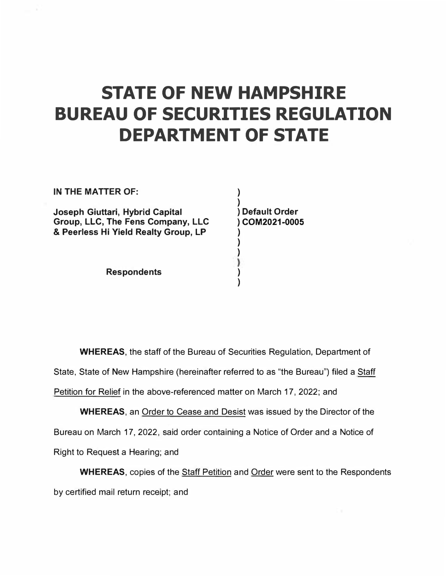## **STATE OF NEW HAMPSHIRE BUREAU OF SECURITIES REGULATION DEPARTMENT OF STATE**

**)** 

**) )** 

**) )** 

**IN THE MATTER OF:** 

**Joseph Giuttari, Hybrid Capital Group, LLC, The Fens Company, LLC & Peerless Hi Yield Realty Group, LP** 

**Respondents** 

**) ) Default Order ) COM2021-0005 )** 

**WHEREAS,** the staff of the Bureau of Securities Regulation, Department of State, State of New Hampshire (hereinafter referred to as "the Bureau") filed a Staff Petition for Relief in the above-referenced matter on March 17, 2022; and

**WHEREAS,** an Order to Cease and Desist was issued by the Director of the Bureau on March 17, 2022, said order containing a Notice of Order and a Notice of Right to Request a Hearing; and

**WHEREAS,** copies of the Staff Petition and Order were sent to the Respondents by certified mail return receipt; and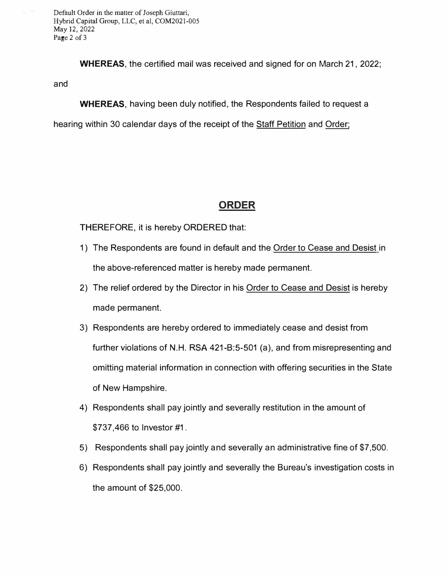Default Order in the matter of Joseph Giuttari, Hybrid Capital Group, LLC, et al, COM2021-005 May 12, 2022 Page 2 of 3

**WHEREAS,** the certified mail was received and signed for on March 21, 2022; and

**WHEREAS,** having been duly notified, the Respondents failed to request a

hearing within 30 calendar days of the receipt of the Staff Petition and Order;

## **ORDER**

THEREFORE, it is hereby ORDERED that:

- 1) The Respondents are found in default and the Order to Cease and Desist in the above-referenced matter is hereby made permanent.
- 2) The relief ordered by the Director in his Order to Cease and Desist is hereby made permanent.
- 3) Respondents are hereby ordered to immediately cease and desist from further violations of N.H. RSA 421-B:5-501 (a), and from misrepresenting and omitting material information in connection with offering securities in the State of New Hampshire.
- 4) Respondents shall pay jointly and severally restitution in the amount of \$737,466 to Investor #1.
- 5) Respondents shall pay jointly and severally an administrative fine of \$7,500.
- 6) Respondents shall pay jointly and severally the Bureau's investigation costs in the amount of \$25,000.